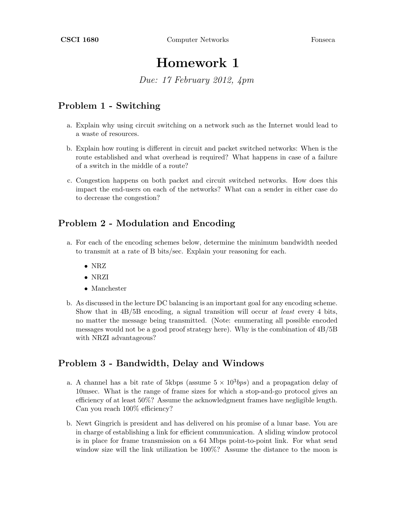# Homework 1

Due: 17 February 2012, 4pm

# Problem 1 - Switching

- a. Explain why using circuit switching on a network such as the Internet would lead to a waste of resources.
- b. Explain how routing is different in circuit and packet switched networks: When is the route established and what overhead is required? What happens in case of a failure of a switch in the middle of a route?
- c. Congestion happens on both packet and circuit switched networks. How does this impact the end-users on each of the networks? What can a sender in either case do to decrease the congestion?

### Problem 2 - Modulation and Encoding

- a. For each of the encoding schemes below, determine the minimum bandwidth needed to transmit at a rate of B bits/sec. Explain your reasoning for each.
	- NRZ
	- NRZI
	- Manchester
- b. As discussed in the lecture DC balancing is an important goal for any encoding scheme. Show that in  $4B/5B$  encoding, a signal transition will occur at least every 4 bits, no matter the message being transmitted. (Note: enumerating all possible encoded messages would not be a good proof strategy here). Why is the combination of 4B/5B with NRZI advantageous?

#### Problem 3 - Bandwidth, Delay and Windows

- a. A channel has a bit rate of 5kbps (assume  $5 \times 10^3 bps$ ) and a propagation delay of 10msec. What is the range of frame sizes for which a stop-and-go protocol gives an efficiency of at least 50%? Assume the acknowledgment frames have negligible length. Can you reach 100% efficiency?
- b. Newt Gingrich is president and has delivered on his promise of a lunar base. You are in charge of establishing a link for efficient communication. A sliding window protocol is in place for frame transmission on a 64 Mbps point-to-point link. For what send window size will the link utilization be 100%? Assume the distance to the moon is